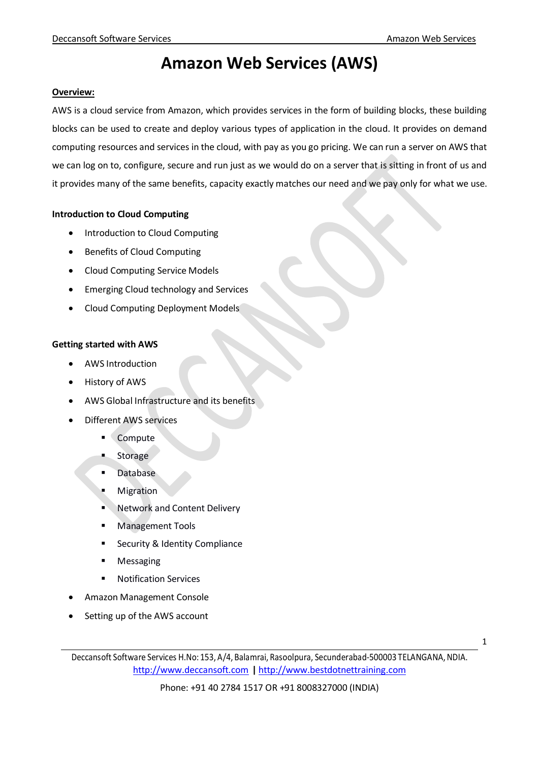# **Amazon Web Services (AWS)**

#### **Overview:**

AWS is a cloud service from Amazon, which provides services in the form of building blocks, these building blocks can be used to create and deploy various types of application in the cloud. It provides on demand computing resources and services in the cloud, with pay as you go pricing. We can run a server on AWS that we can log on to, configure, secure and run just as we would do on a server that is sitting in front of us and it provides many of the same benefits, capacity exactly matches our need and we pay only for what we use.

# **Introduction to Cloud Computing**

- Introduction to Cloud Computing
- **•** Benefits of Cloud Computing
- Cloud Computing Service Models
- Emerging Cloud technology and Services
- Cloud Computing Deployment Models

# **Getting started with AWS**

- AWS Introduction
- History of AWS
- AWS Global Infrastructure and its benefits
- Different AWS services
	- **Compute**
	- Storage
	- Database
	- Migration
	- Network and Content Delivery
	- Management Tools
	- Security & Identity Compliance
	- Messaging
	- Notification Services
- Amazon Management Console
- Setting up of the AWS account

Deccansoft Software Services H.No: 153, A/4, Balamrai, Rasoolpura, Secunderabad-500003 TELANGANA, NDIA. [http://www.deccansoft.com](http://www.deccansoft.com/) | http://www.bestdotnettraining.com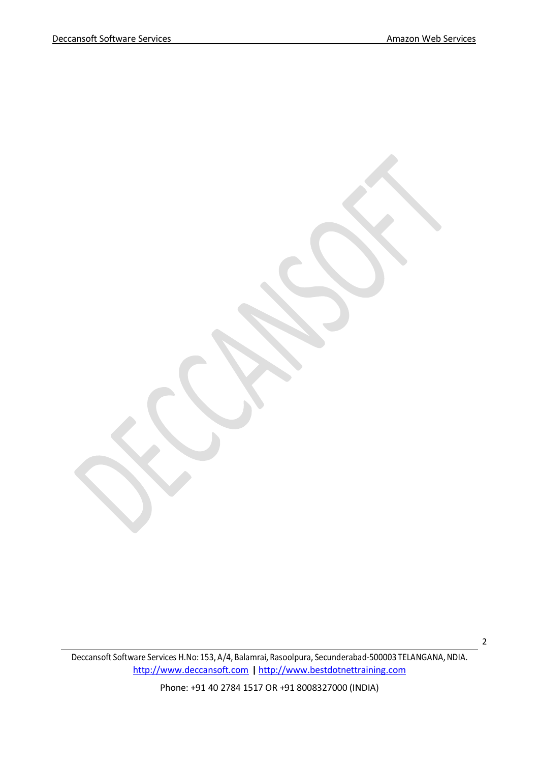Deccansoft Software Services H.No: 153, A/4, Balamrai, Rasoolpura, Secunderabad-500003 TELANGANA,NDIA. [http://www.deccansoft.com](http://www.deccansoft.com/) | http://www.bestdotnettraining.com

Phone: +91 40 2784 1517 OR +91 8008327000 (INDIA)

2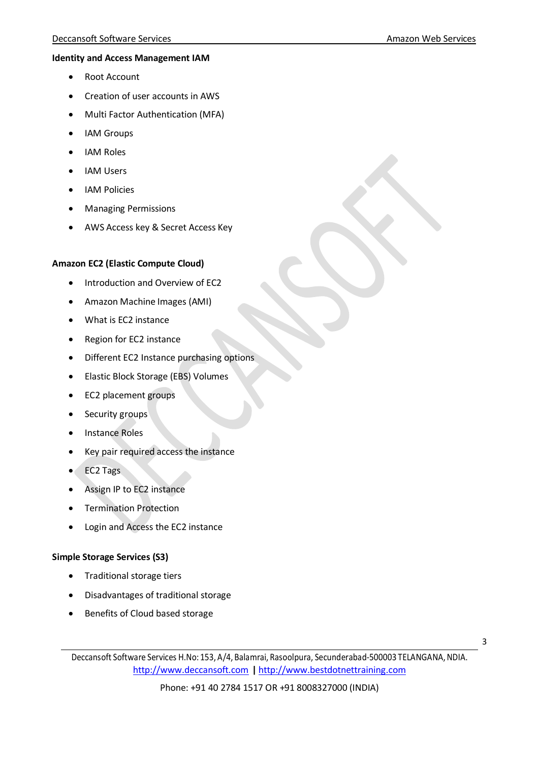#### **Identity and Access Management IAM**

- Root Account
- Creation of user accounts in AWS
- Multi Factor Authentication (MFA)
- IAM Groups
- IAM Roles
- IAM Users
- **•** IAM Policies
- Managing Permissions
- AWS Access key & Secret Access Key

# **Amazon EC2 (Elastic Compute Cloud)**

- Introduction and Overview of EC2
- Amazon Machine Images (AMI)
- What is EC2 instance
- Region for EC2 instance
- Different EC2 Instance purchasing options
- Elastic Block Storage (EBS) Volumes
- EC2 placement groups
- Security groups
- **•** Instance Roles
- Key pair required access the instance
- EC2 Tags
- Assign IP to EC2 instance
- Termination Protection
- Login and Access the EC2 instance

# **Simple Storage Services (S3)**

- Traditional storage tiers
- Disadvantages of traditional storage
- Benefits of Cloud based storage

Deccansoft Software Services H.No: 153, A/4, Balamrai, Rasoolpura, Secunderabad-500003 TELANGANA, NDIA. [http://www.deccansoft.com](http://www.deccansoft.com/) [|http://www.bestdotnettraining.com](http://www.bestdotnettraining.com/)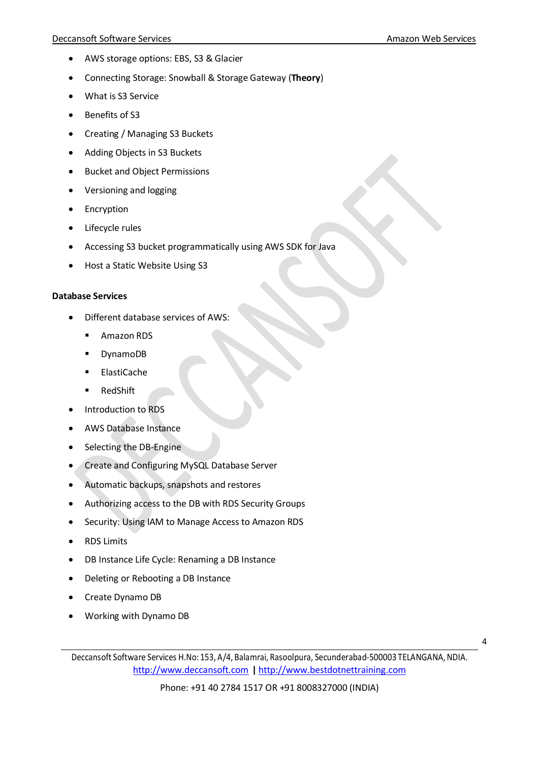- AWS storage options: EBS, S3 & Glacier
- Connecting Storage: Snowball & Storage Gateway (**Theory**)
- What is S3 Service
- Benefits of S3
- Creating / Managing S3 Buckets
- Adding Objects in S3 Buckets
- Bucket and Object Permissions
- Versioning and logging
- Encryption
- Lifecycle rules
- Accessing S3 bucket programmatically using AWS SDK for Java
- Host a Static Website Using S3

## **Database Services**

- Different database services of AWS:
	- Amazon RDS
	- DynamoDB
	- ElastiCache
	- RedShift
- Introduction to RDS
- AWS Database Instance
- Selecting the DB-Engine
- Create and Configuring MySQL Database Server
- Automatic backups, snapshots and restores
- Authorizing access to the DB with RDS Security Groups
- Security: Using IAM to Manage Access to Amazon RDS
- RDS Limits
- DB Instance Life Cycle: Renaming a DB Instance
- Deleting or Rebooting a DB Instance
- Create Dynamo DB
- Working with Dynamo DB

Deccansoft Software Services H.No: 153, A/4, Balamrai, Rasoolpura, Secunderabad-500003 TELANGANA, NDIA. [http://www.deccansoft.com](http://www.deccansoft.com/) [|http://www.bestdotnettraining.com](http://www.bestdotnettraining.com/)

<sup>4</sup>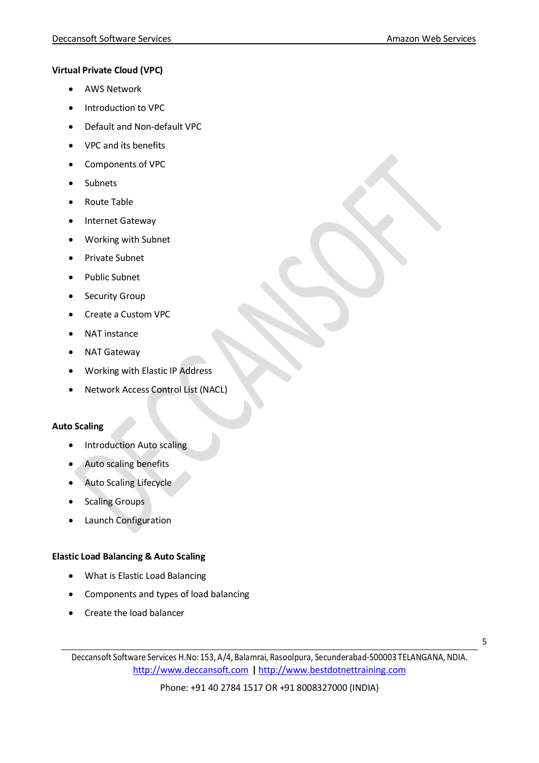# **Virtual Private Cloud (VPC)**

- AWS Network
- Introduction to VPC
- Default and Non-default VPC
- VPC and its benefits
- Components of VPC
- Subnets
- Route Table
- Internet Gateway
- Working with Subnet
- Private Subnet
- Public Subnet
- Security Group
- Create a Custom VPC
- NAT instance
- NAT Gateway
- Working with Elastic IP Address
- Network Access Control List (NACL)

#### **Auto Scaling**

- Introduction Auto scaling
- Auto scaling benefits
- Auto Scaling Lifecycle
- Scaling Groups
- Launch Configuration

#### **Elastic Load Balancing & Auto Scaling**

- What is Elastic Load Balancing
- Components and types of load balancing
- Create the load balancer

Deccansoft Software Services H.No: 153, A/4, Balamrai, Rasoolpura, Secunderabad-500003 TELANGANA, NDIA. [http://www.deccansoft.com](http://www.deccansoft.com/) | http://www.bestdotnettraining.com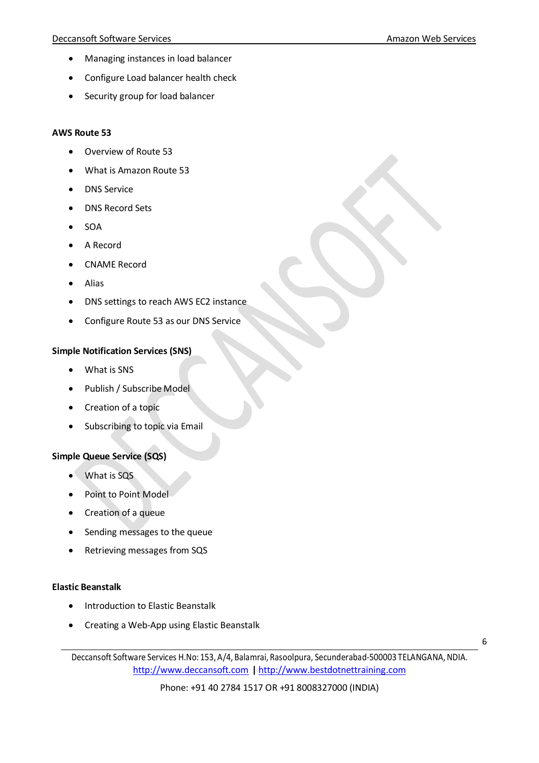- Managing instances in load balancer
- Configure Load balancer health check
- Security group for load balancer

# **AWS Route 53**

- Overview of Route 53
- What is Amazon Route 53
- **•** DNS Service
- DNS Record Sets
- SOA
- A Record
- CNAME Record
- Alias
- DNS settings to reach AWS EC2 instance
- Configure Route 53 as our DNS Service

# **Simple Notification Services (SNS)**

- What is SNS
- Publish / Subscribe Model
- Creation of a topic
- Subscribing to topic via Email

# **Simple Queue Service (SQS)**

- What is SQS
- Point to Point Model
- Creation of a queue
- Sending messages to the queue
- Retrieving messages from SQS

#### **Elastic Beanstalk**

- Introduction to Elastic Beanstalk
- Creating a Web-App using Elastic Beanstalk

Deccansoft Software Services H.No: 153, A/4, Balamrai, Rasoolpura, Secunderabad-500003 TELANGANA, NDIA. [http://www.deccansoft.com](http://www.deccansoft.com/) [|http://www.bestdotnettraining.com](http://www.bestdotnettraining.com/)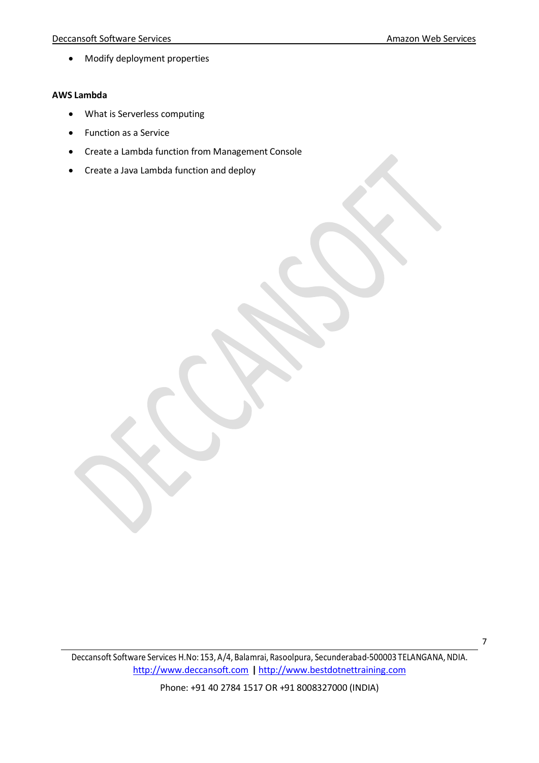Modify deployment properties

## **AWS Lambda**

- What is Serverless computing
- Function as a Service
- Create a Lambda function from Management Console
- Create a Java Lambda function and deploy

Deccansoft Software Services H.No: 153, A/4, Balamrai, Rasoolpura, Secunderabad-500003 TELANGANA,NDIA. [http://www.deccansoft.com](http://www.deccansoft.com/) | http://www.bestdotnettraining.com